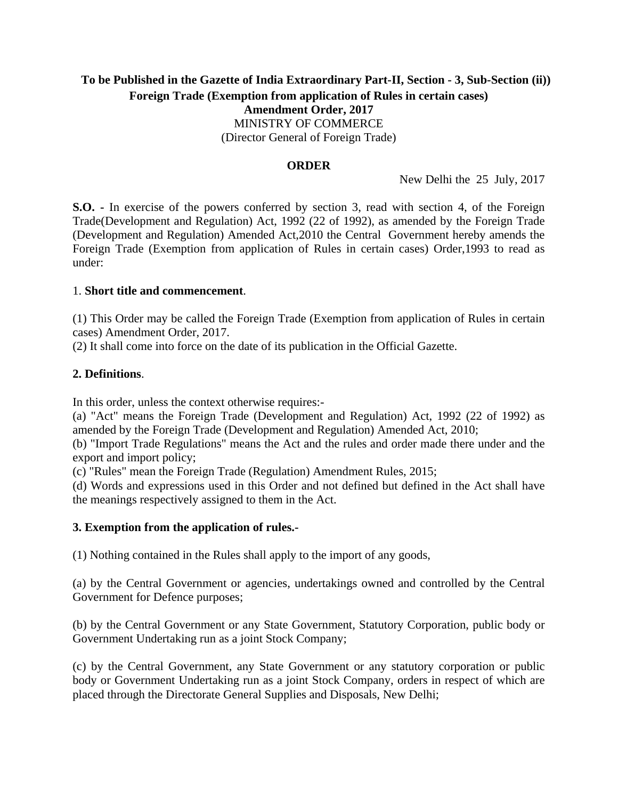# **To be Published in the Gazette of India Extraordinary Part-II, Section - 3, Sub-Section (ii)) Foreign Trade (Exemption from application of Rules in certain cases) Amendment Order, 2017** MINISTRY OF COMMERCE (Director General of Foreign Trade)

## **ORDER**

New Delhi the 25 July, 2017

**S.O. -** In exercise of the powers conferred by section 3, read with section 4, of the Foreign Trade(Development and Regulation) Act, 1992 (22 of 1992), as amended by the Foreign Trade (Development and Regulation) Amended Act,2010 the Central Government hereby amends the Foreign Trade (Exemption from application of Rules in certain cases) Order,1993 to read as under:

### 1. **Short title and commencement**.

(1) This Order may be called the Foreign Trade (Exemption from application of Rules in certain cases) Amendment Order, 2017.

(2) It shall come into force on the date of its publication in the Official Gazette.

### **2. Definitions**.

In this order, unless the context otherwise requires:-

(a) "Act" means the Foreign Trade (Development and Regulation) Act, 1992 (22 of 1992) as amended by the Foreign Trade (Development and Regulation) Amended Act, 2010;

(b) "Import Trade Regulations" means the Act and the rules and order made there under and the export and import policy;

(c) "Rules" mean the Foreign Trade (Regulation) Amendment Rules, 2015;

(d) Words and expressions used in this Order and not defined but defined in the Act shall have the meanings respectively assigned to them in the Act.

### **3. Exemption from the application of rules.-**

(1) Nothing contained in the Rules shall apply to the import of any goods,

(a) by the Central Government or agencies, undertakings owned and controlled by the Central Government for Defence purposes;

(b) by the Central Government or any State Government, Statutory Corporation, public body or Government Undertaking run as a joint Stock Company;

(c) by the Central Government, any State Government or any statutory corporation or public body or Government Undertaking run as a joint Stock Company, orders in respect of which are placed through the Directorate General Supplies and Disposals, New Delhi;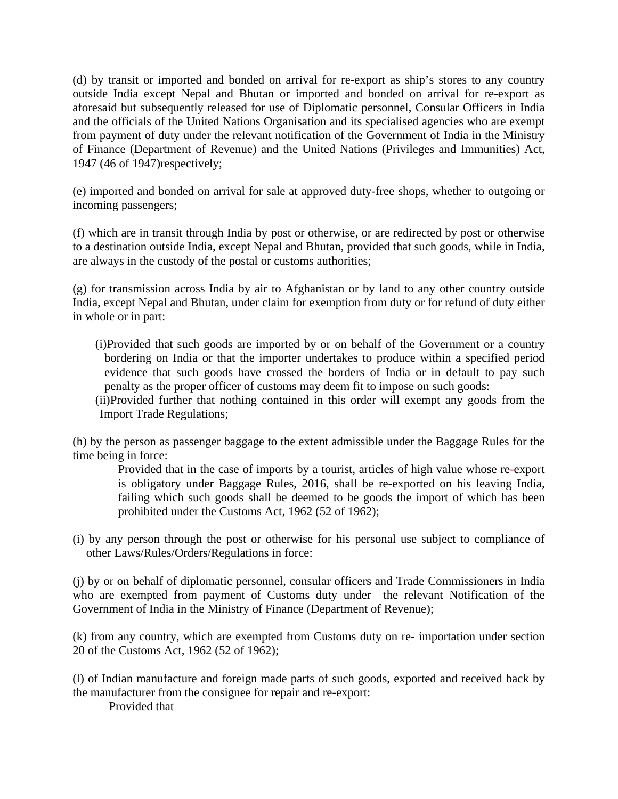(d) by transit or imported and bonded on arrival for re-export as ship's stores to any country outside India except Nepal and Bhutan or imported and bonded on arrival for re-export as aforesaid but subsequently released for use of Diplomatic personnel, Consular Officers in India and the officials of the United Nations Organisation and its specialised agencies who are exempt from payment of duty under the relevant notification of the Government of India in the Ministry of Finance (Department of Revenue) and the United Nations (Privileges and Immunities) Act, 1947 (46 of 1947)respectively;

(e) imported and bonded on arrival for sale at approved duty-free shops, whether to outgoing or incoming passengers;

(f) which are in transit through India by post or otherwise, or are redirected by post or otherwise to a destination outside India, except Nepal and Bhutan, provided that such goods, while in India, are always in the custody of the postal or customs authorities;

(g) for transmission across India by air to Afghanistan or by land to any other country outside India, except Nepal and Bhutan, under claim for exemption from duty or for refund of duty either in whole or in part:

(i)Provided that such goods are imported by or on behalf of the Government or a country bordering on India or that the importer undertakes to produce within a specified period evidence that such goods have crossed the borders of India or in default to pay such penalty as the proper officer of customs may deem fit to impose on such goods:

(ii)Provided further that nothing contained in this order will exempt any goods from the Import Trade Regulations;

(h) by the person as passenger baggage to the extent admissible under the Baggage Rules for the time being in force:

Provided that in the case of imports by a tourist, articles of high value whose re-export is obligatory under Baggage Rules, 2016, shall be re-exported on his leaving India, failing which such goods shall be deemed to be goods the import of which has been prohibited under the Customs Act, 1962 (52 of 1962);

(i) by any person through the post or otherwise for his personal use subject to compliance of other Laws/Rules/Orders/Regulations in force:

(j) by or on behalf of diplomatic personnel, consular officers and Trade Commissioners in India who are exempted from payment of Customs duty under the relevant Notification of the Government of India in the Ministry of Finance (Department of Revenue);

(k) from any country, which are exempted from Customs duty on re- importation under section 20 of the Customs Act, 1962 (52 of 1962);

(l) of Indian manufacture and foreign made parts of such goods, exported and received back by the manufacturer from the consignee for repair and re-export:

Provided that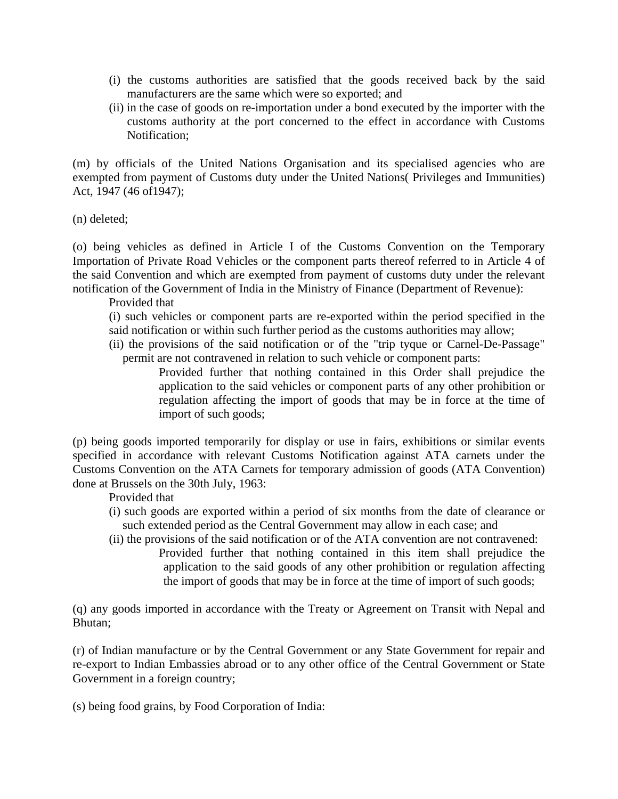- (i) the customs authorities are satisfied that the goods received back by the said manufacturers are the same which were so exported; and
- (ii) in the case of goods on re-importation under a bond executed by the importer with the customs authority at the port concerned to the effect in accordance with Customs Notification;

(m) by officials of the United Nations Organisation and its specialised agencies who are exempted from payment of Customs duty under the United Nations( Privileges and Immunities) Act, 1947 (46 of1947);

(n) deleted;

(o) being vehicles as defined in Article I of the Customs Convention on the Temporary Importation of Private Road Vehicles or the component parts thereof referred to in Article 4 of the said Convention and which are exempted from payment of customs duty under the relevant notification of the Government of India in the Ministry of Finance (Department of Revenue):

Provided that

- (i) such vehicles or component parts are re-exported within the period specified in the said notification or within such further period as the customs authorities may allow;
- (ii) the provisions of the said notification or of the "trip tyque or Carnel-De-Passage" permit are not contravened in relation to such vehicle or component parts:

Provided further that nothing contained in this Order shall prejudice the application to the said vehicles or component parts of any other prohibition or regulation affecting the import of goods that may be in force at the time of import of such goods;

(p) being goods imported temporarily for display or use in fairs, exhibitions or similar events specified in accordance with relevant Customs Notification against ATA carnets under the Customs Convention on the ATA Carnets for temporary admission of goods (ATA Convention) done at Brussels on the 30th July, 1963:

Provided that

- (i) such goods are exported within a period of six months from the date of clearance or such extended period as the Central Government may allow in each case; and
- (ii) the provisions of the said notification or of the ATA convention are not contravened: Provided further that nothing contained in this item shall prejudice the application to the said goods of any other prohibition or regulation affecting the import of goods that may be in force at the time of import of such goods;

(q) any goods imported in accordance with the Treaty or Agreement on Transit with Nepal and Bhutan;

(r) of Indian manufacture or by the Central Government or any State Government for repair and re-export to Indian Embassies abroad or to any other office of the Central Government or State Government in a foreign country;

(s) being food grains, by Food Corporation of India: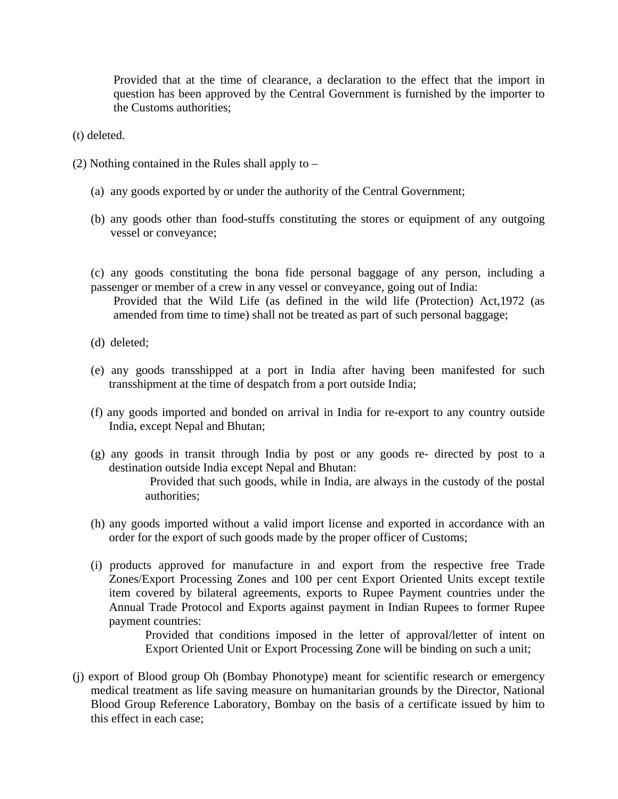Provided that at the time of clearance, a declaration to the effect that the import in question has been approved by the Central Government is furnished by the importer to the Customs authorities;

(t) deleted.

- (2) Nothing contained in the Rules shall apply to
	- (a) any goods exported by or under the authority of the Central Government;
	- (b) any goods other than food-stuffs constituting the stores or equipment of any outgoing vessel or conveyance;

(c) any goods constituting the bona fide personal baggage of any person, including a passenger or member of a crew in any vessel or conveyance, going out of India:

Provided that the Wild Life (as defined in the wild life (Protection) Act,1972 (as amended from time to time) shall not be treated as part of such personal baggage;

- (d) deleted;
- (e) any goods transshipped at a port in India after having been manifested for such transshipment at the time of despatch from a port outside India;
- (f) any goods imported and bonded on arrival in India for re-export to any country outside India, except Nepal and Bhutan;
- (g) any goods in transit through India by post or any goods re- directed by post to a destination outside India except Nepal and Bhutan: Provided that such goods, while in India, are always in the custody of the postal authorities;
- (h) any goods imported without a valid import license and exported in accordance with an order for the export of such goods made by the proper officer of Customs;
- (i) products approved for manufacture in and export from the respective free Trade Zones/Export Processing Zones and 100 per cent Export Oriented Units except textile item covered by bilateral agreements, exports to Rupee Payment countries under the Annual Trade Protocol and Exports against payment in Indian Rupees to former Rupee payment countries:

Provided that conditions imposed in the letter of approval/letter of intent on Export Oriented Unit or Export Processing Zone will be binding on such a unit;

(j) export of Blood group Oh (Bombay Phonotype) meant for scientific research or emergency medical treatment as life saving measure on humanitarian grounds by the Director, National Blood Group Reference Laboratory, Bombay on the basis of a certificate issued by him to this effect in each case;